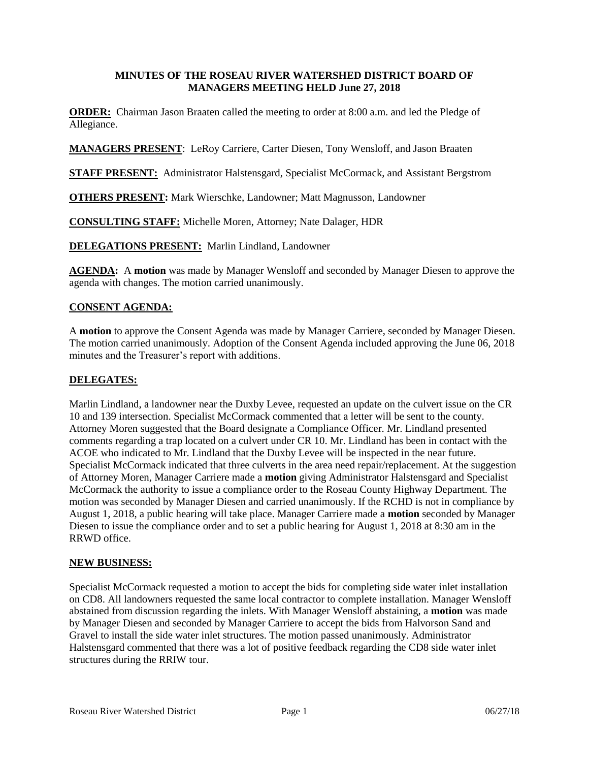### **MINUTES OF THE ROSEAU RIVER WATERSHED DISTRICT BOARD OF MANAGERS MEETING HELD June 27, 2018**

**ORDER:** Chairman Jason Braaten called the meeting to order at 8:00 a.m. and led the Pledge of Allegiance.

**MANAGERS PRESENT**: LeRoy Carriere, Carter Diesen, Tony Wensloff, and Jason Braaten

**STAFF PRESENT:** Administrator Halstensgard, Specialist McCormack, and Assistant Bergstrom

**OTHERS PRESENT:** Mark Wierschke, Landowner; Matt Magnusson, Landowner

**CONSULTING STAFF:** Michelle Moren, Attorney; Nate Dalager, HDR

**DELEGATIONS PRESENT:** Marlin Lindland, Landowner

**AGENDA:** A **motion** was made by Manager Wensloff and seconded by Manager Diesen to approve the agenda with changes. The motion carried unanimously.

# **CONSENT AGENDA:**

A **motion** to approve the Consent Agenda was made by Manager Carriere, seconded by Manager Diesen. The motion carried unanimously. Adoption of the Consent Agenda included approving the June 06, 2018 minutes and the Treasurer's report with additions.

### **DELEGATES:**

Marlin Lindland, a landowner near the Duxby Levee, requested an update on the culvert issue on the CR 10 and 139 intersection. Specialist McCormack commented that a letter will be sent to the county. Attorney Moren suggested that the Board designate a Compliance Officer. Mr. Lindland presented comments regarding a trap located on a culvert under CR 10. Mr. Lindland has been in contact with the ACOE who indicated to Mr. Lindland that the Duxby Levee will be inspected in the near future. Specialist McCormack indicated that three culverts in the area need repair/replacement. At the suggestion of Attorney Moren, Manager Carriere made a **motion** giving Administrator Halstensgard and Specialist McCormack the authority to issue a compliance order to the Roseau County Highway Department. The motion was seconded by Manager Diesen and carried unanimously. If the RCHD is not in compliance by August 1, 2018, a public hearing will take place. Manager Carriere made a **motion** seconded by Manager Diesen to issue the compliance order and to set a public hearing for August 1, 2018 at 8:30 am in the RRWD office.

### **NEW BUSINESS:**

Specialist McCormack requested a motion to accept the bids for completing side water inlet installation on CD8. All landowners requested the same local contractor to complete installation. Manager Wensloff abstained from discussion regarding the inlets. With Manager Wensloff abstaining, a **motion** was made by Manager Diesen and seconded by Manager Carriere to accept the bids from Halvorson Sand and Gravel to install the side water inlet structures. The motion passed unanimously. Administrator Halstensgard commented that there was a lot of positive feedback regarding the CD8 side water inlet structures during the RRIW tour.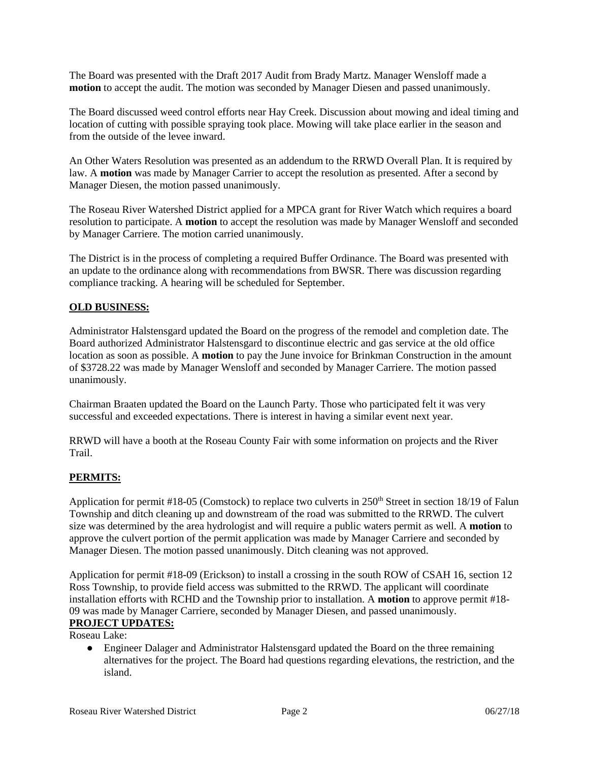The Board was presented with the Draft 2017 Audit from Brady Martz. Manager Wensloff made a **motion** to accept the audit. The motion was seconded by Manager Diesen and passed unanimously.

The Board discussed weed control efforts near Hay Creek. Discussion about mowing and ideal timing and location of cutting with possible spraying took place. Mowing will take place earlier in the season and from the outside of the levee inward.

An Other Waters Resolution was presented as an addendum to the RRWD Overall Plan. It is required by law. A **motion** was made by Manager Carrier to accept the resolution as presented. After a second by Manager Diesen, the motion passed unanimously.

The Roseau River Watershed District applied for a MPCA grant for River Watch which requires a board resolution to participate. A **motion** to accept the resolution was made by Manager Wensloff and seconded by Manager Carriere. The motion carried unanimously.

The District is in the process of completing a required Buffer Ordinance. The Board was presented with an update to the ordinance along with recommendations from BWSR. There was discussion regarding compliance tracking. A hearing will be scheduled for September.

## **OLD BUSINESS:**

Administrator Halstensgard updated the Board on the progress of the remodel and completion date. The Board authorized Administrator Halstensgard to discontinue electric and gas service at the old office location as soon as possible. A **motion** to pay the June invoice for Brinkman Construction in the amount of \$3728.22 was made by Manager Wensloff and seconded by Manager Carriere. The motion passed unanimously.

Chairman Braaten updated the Board on the Launch Party. Those who participated felt it was very successful and exceeded expectations. There is interest in having a similar event next year.

RRWD will have a booth at the Roseau County Fair with some information on projects and the River Trail.

### **PERMITS:**

Application for permit #18-05 (Comstock) to replace two culverts in  $250<sup>th</sup>$  Street in section 18/19 of Falun Township and ditch cleaning up and downstream of the road was submitted to the RRWD. The culvert size was determined by the area hydrologist and will require a public waters permit as well. A **motion** to approve the culvert portion of the permit application was made by Manager Carriere and seconded by Manager Diesen. The motion passed unanimously. Ditch cleaning was not approved.

Application for permit #18-09 (Erickson) to install a crossing in the south ROW of CSAH 16, section 12 Ross Township, to provide field access was submitted to the RRWD. The applicant will coordinate installation efforts with RCHD and the Township prior to installation. A **motion** to approve permit #18- 09 was made by Manager Carriere, seconded by Manager Diesen, and passed unanimously. **PROJECT UPDATES:**

Roseau Lake:

● Engineer Dalager and Administrator Halstensgard updated the Board on the three remaining alternatives for the project. The Board had questions regarding elevations, the restriction, and the island.